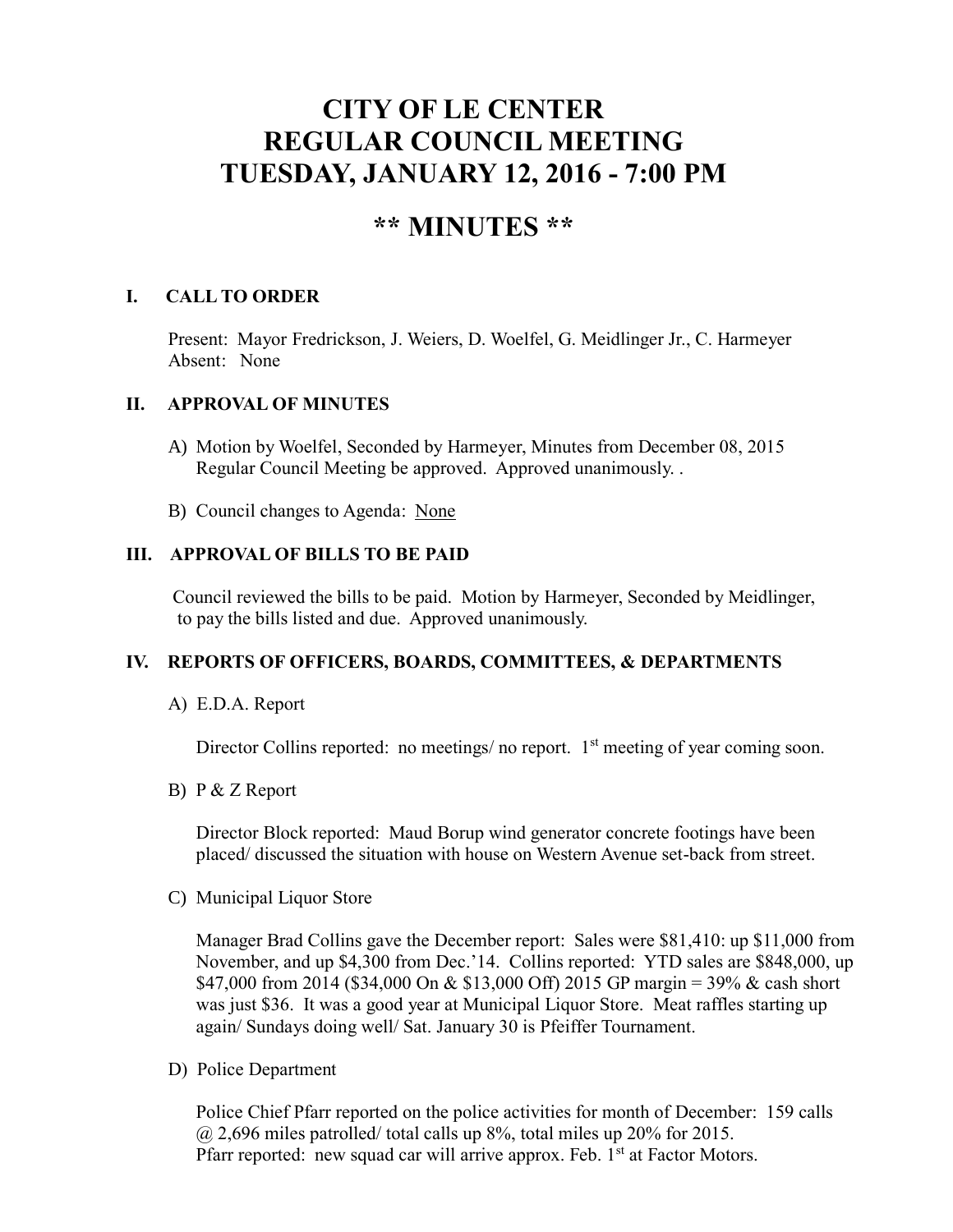# **CITY OF LE CENTER REGULAR COUNCIL MEETING TUESDAY, JANUARY 12, 2016 - 7:00 PM**

## **\*\* MINUTES \*\***

### **I. CALL TO ORDER**

Present: Mayor Fredrickson, J. Weiers, D. Woelfel, G. Meidlinger Jr., C. Harmeyer Absent: None

#### **II. APPROVAL OF MINUTES**

- A) Motion by Woelfel, Seconded by Harmeyer, Minutes from December 08, 2015 Regular Council Meeting be approved. Approved unanimously. .
- B) Council changes to Agenda: None

#### **III. APPROVAL OF BILLS TO BE PAID**

Council reviewed the bills to be paid. Motion by Harmeyer, Seconded by Meidlinger, to pay the bills listed and due. Approved unanimously.

#### **IV. REPORTS OF OFFICERS, BOARDS, COMMITTEES, & DEPARTMENTS**

A) E.D.A. Report

Director Collins reported: no meetings/ no report.  $1<sup>st</sup>$  meeting of year coming soon.

B) P & Z Report

 Director Block reported: Maud Borup wind generator concrete footings have been placed/ discussed the situation with house on Western Avenue set-back from street.

C) Municipal Liquor Store

Manager Brad Collins gave the December report: Sales were \$81,410: up \$11,000 from November, and up \$4,300 from Dec.'14. Collins reported: YTD sales are \$848,000, up \$47,000 from 2014 (\$34,000 On & \$13,000 Off) 2015 GP margin = 39% & cash short was just \$36. It was a good year at Municipal Liquor Store. Meat raffles starting up again/ Sundays doing well/ Sat. January 30 is Pfeiffer Tournament.

D) Police Department

Police Chief Pfarr reported on the police activities for month of December: 159 calls  $(a)$  2,696 miles patrolled/ total calls up 8%, total miles up 20% for 2015. Pfarr reported: new squad car will arrive approx. Feb.  $1<sup>st</sup>$  at Factor Motors.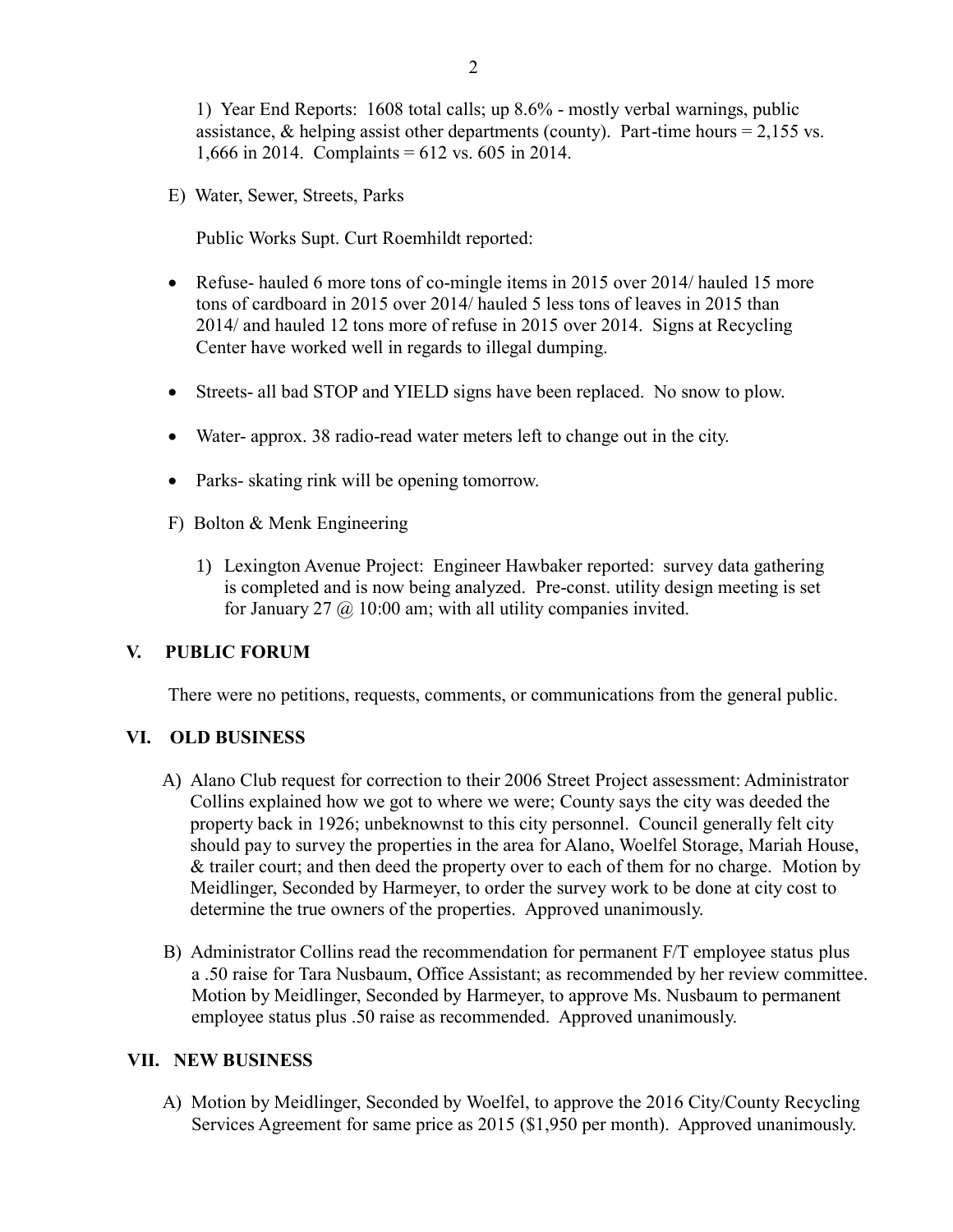E) Water, Sewer, Streets, Parks

Public Works Supt. Curt Roemhildt reported:

- Refuse- hauled 6 more tons of co-mingle items in 2015 over 2014/ hauled 15 more tons of cardboard in 2015 over 2014/ hauled 5 less tons of leaves in 2015 than 2014/ and hauled 12 tons more of refuse in 2015 over 2014. Signs at Recycling Center have worked well in regards to illegal dumping.
- Streets- all bad STOP and YIELD signs have been replaced. No snow to plow.
- Water- approx. 38 radio-read water meters left to change out in the city.
- Parks- skating rink will be opening tomorrow.
- F) Bolton & Menk Engineering
	- 1) Lexington Avenue Project: Engineer Hawbaker reported: survey data gathering is completed and is now being analyzed. Pre-const. utility design meeting is set for January 27  $\omega$  10:00 am; with all utility companies invited.

#### **V. PUBLIC FORUM**

There were no petitions, requests, comments, or communications from the general public.

#### **VI. OLD BUSINESS**

- A) Alano Club request for correction to their 2006 Street Project assessment: Administrator Collins explained how we got to where we were; County says the city was deeded the property back in 1926; unbeknownst to this city personnel. Council generally felt city should pay to survey the properties in the area for Alano, Woelfel Storage, Mariah House, & trailer court; and then deed the property over to each of them for no charge. Motion by Meidlinger, Seconded by Harmeyer, to order the survey work to be done at city cost to determine the true owners of the properties. Approved unanimously.
- B) Administrator Collins read the recommendation for permanent F/T employee status plus a .50 raise for Tara Nusbaum, Office Assistant; as recommended by her review committee. Motion by Meidlinger, Seconded by Harmeyer, to approve Ms. Nusbaum to permanent employee status plus .50 raise as recommended. Approved unanimously.

#### **VII. NEW BUSINESS**

 A) Motion by Meidlinger, Seconded by Woelfel, to approve the 2016 City/County Recycling Services Agreement for same price as 2015 (\$1,950 per month). Approved unanimously.